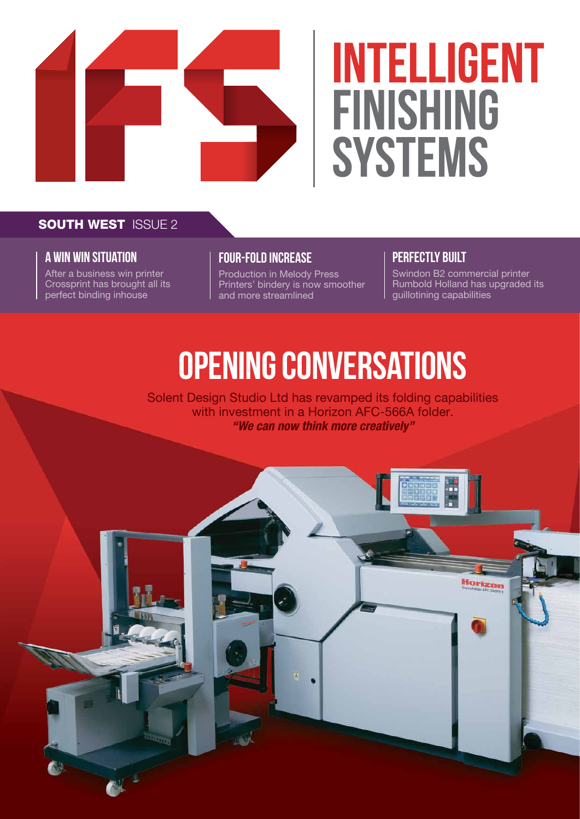

# **INTELLIGENT FINISHING SYSTEMS**

#### **SOUTH WEST ISSUE 2**

#### **a win win situation**

After a business win printer Crossprint has brought all its perfect binding inhouse

#### **four-fold increase**

Production in Melody Press Printers' bindery is now smoother and more streamlined

#### **perfectly built**

Swindon B2 commercial printer Rumbold Holland has upgraded its guillotining capabilities

# **OPENING conversations**

Solent Design Studio Ltd has revamped its folding capabilities with investment in a Horizon AFC-566A folder. *"We can now think more creatively"*

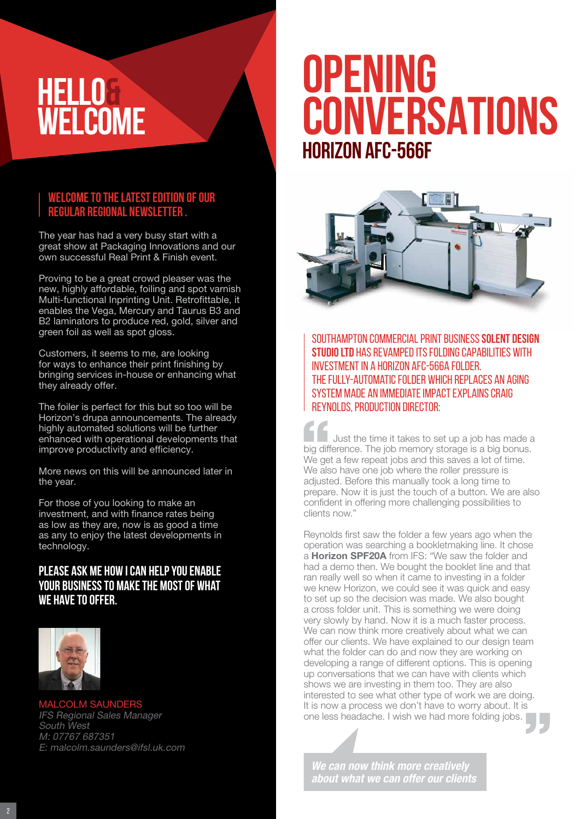### **HELLO& WELCOME**

#### **Welcome to the latest edition of our regular regional newsletter .**

The year has had a very busy start with a great show at Packaging Innovations and our own successful Real Print & Finish event.

Proving to be a great crowd pleaser was the new, highly affordable, foiling and spot varnish Multi-functional Inprinting Unit. Retrofittable, it enables the Vega, Mercury and Taurus B3 and B2 laminators to produce red, gold, silver and green foil as well as spot gloss.

Customers, it seems to me, are looking for ways to enhance their print finishing by bringing services in-house or enhancing what they already offer.

The foiler is perfect for this but so too will be Horizon's drupa announcements. The already highly automated solutions will be further enhanced with operational developments that improve productivity and efficiency.

More news on this will be announced later in the year.

For those of you looking to make an investment, and with finance rates being as low as they are, now is as good a time as any to enjoy the latest developments in technology.

#### **Please ask me how I can help you enable your business to make the most of what we have to offer.**



MALCOLM SAUNDERS IFS Regional Sales Manager South West M: 07767 687351 E: malcolm.saunders@ifsl.uk.com

### **OPENING CONVERSATIONS Horizon AFC-566F**



Southampton commercial print business **Solent Design Studio Ltd** has revamped its folding capabilities with investment in a Horizon AFC-566A folder. The fully-automatic folder which replaces an aging system made an immediate impact explains Craig Reynolds, production director:

Just the time it takes to set up a job has made a big difference. The job memory storage is a big bonus. We get a few repeat jobs and this saves a lot of time. We also have one job where the roller pressure is adjusted. Before this manually took a long time to prepare. Now it is just the touch of a button. We are also confident in offering more challenging possibilities to clients now."

Reynolds first saw the folder a few years ago when the operation was searching a bookletmaking line. It chose a Horizon SPF20A from IFS: "We saw the folder and had a demo then. We bought the booklet line and that ran really well so when it came to investing in a folder we knew Horizon, we could see it was quick and easy to set up so the decision was made. We also bought a cross folder unit. This is something we were doing very slowly by hand. Now it is a much faster process. We can now think more creatively about what we can offer our clients. We have explained to our design team what the folder can do and now they are working on developing a range of different options. This is opening up conversations that we can have with clients which shows we are investing in them too. They are also interested to see what other type of work we are doing. It is now a process we don't have to worry about. It is one less headache. I wish we had more folding jobs.

*We can now think more creatively about what we can offer our clients*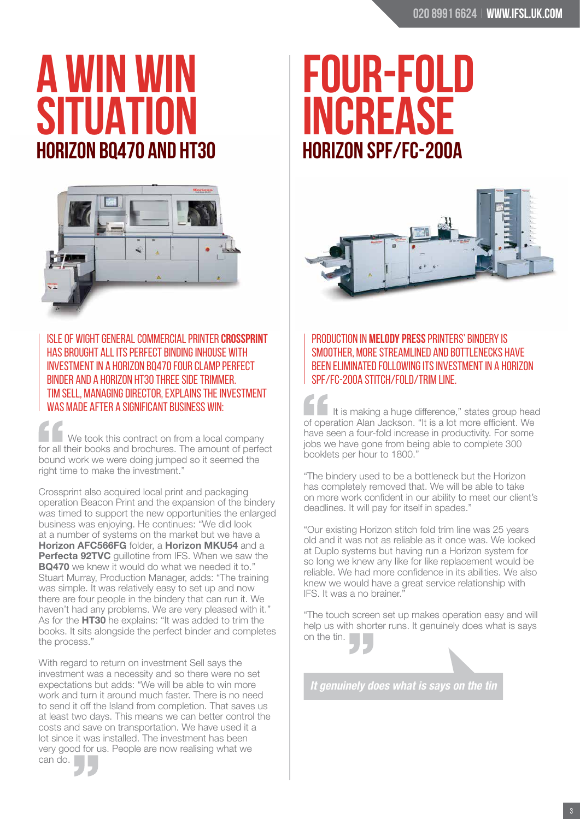## **A WIN WIN SITUAT Horizon BQ470 and HT30**



Isle of Wight general commercial printer **Crossprint**  has brought all its perfect binding inhouse with investment in a Horizon BQ470 four clamp perfect binder and a Horizon HT30 three side trimmer. Tim Sell, Managing Director, explains the investment

We took this contract on from a local company for all their books and brochures. The amount of perfect bound work we were doing jumped so it seemed the right time to make the investment."

Crossprint also acquired local print and packaging operation Beacon Print and the expansion of the bindery was timed to support the new opportunities the enlarged business was enjoying. He continues: "We did look at a number of systems on the market but we have a Horizon AFC566FG folder, a Horizon MKU54 and a Perfecta 92TVC quillotine from IFS. When we saw the **BQ470** we knew it would do what we needed it to." Stuart Murray, Production Manager, adds: "The training was simple. It was relatively easy to set up and now there are four people in the bindery that can run it. We haven't had any problems. We are very pleased with it." As for the **HT30** he explains: "It was added to trim the books. It sits alongside the perfect binder and completes the process."

With regard to return on investment Sell says the investment was a necessity and so there were no set expectations but adds: "We will be able to win more work and turn it around much faster. There is no need to send it off the Island from completion. That saves us at least two days. This means we can better control the costs and save on transportation. We have used it a lot since it was installed. The investment has been very good for us. People are now realising what we can do.

## **Four-fold INCREASE Horizon SPF/FC-200A**



Production in **Melody Press** Printers' bindery is smoother, more streamlined and bottlenecks have been eliminated following its investment in a Horizon SPF/FC-200A stitch/fold/trim line.

WAS MADE AFTER A SIGNIFICANT BUSINESS WIN: It is making a huge difference," states group head of operation Alan Jackson. "It is a lot more efficient. We have seen a four-fold increase in productivity. For some jobs we have gone from being able to complete 300 booklets per hour to 1800."

> "The bindery used to be a bottleneck but the Horizon has completely removed that. We will be able to take on more work confident in our ability to meet our client's deadlines. It will pay for itself in spades."

> "Our existing Horizon stitch fold trim line was 25 years old and it was not as reliable as it once was. We looked at Duplo systems but having run a Horizon system for so long we knew any like for like replacement would be reliable. We had more confidence in its abilities. We also knew we would have a great service relationship with IFS. It was a no brainer."

> "The touch screen set up makes operation easy and will help us with shorter runs. It genuinely does what is says on the tin.

*It genuinely does what is says on the tin*